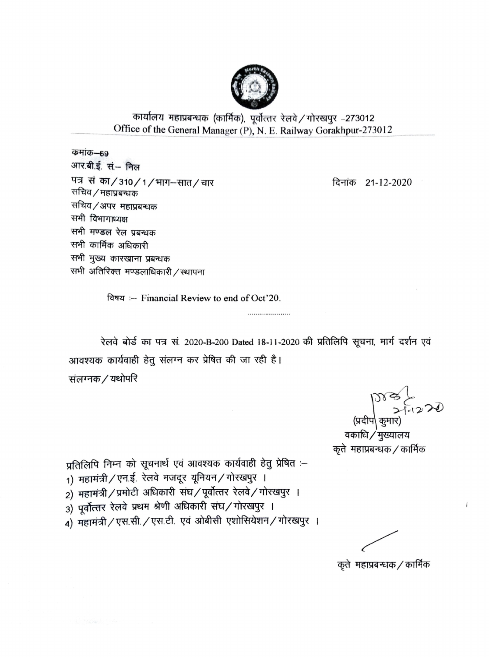

## कार्यालय महाप्रबन्धक (कार्मिक), पूर्वोत्तर रेलवे / गोरखपुर -273012 Office of the General Manager (P), N. E. Railway Gorakhpur-273012

कमांक–69 आर.बी.ई. सं.- निल पत्र सं का/310/1/भाग-सात/चार सचिव / महाप्रबन्धक सचिव/अपर महाप्रबन्धक सभी विभागाध्यक्ष सभी मण्डल रेल प्रबन्धक सभी कार्मिक अधिकारी सभी मुख्य कारखाना प्रबन्धक सभी अतिरिक्त मण्डलाधिकारी / स्थापना

दिनांक 21-12-2020

विषय :-- Financial Review to end of Oct'20.

रेलवे बोर्ड का पत्र सं. 2020-B-200 Dated 18-11-2020 की प्रतिलिपि सूचना, मार्ग दर्शन एवं आवश्यक कार्यवाही हेतु संलग्न कर प्रेषित की जा रही है। संलग्नक / यथोपरि

....................

ST 3 2 20

वकाधि ⁄ मुख्यालय कृते महाप्रबन्धक / कार्मिक

प्रतिलिपि निम्न को सूचनार्थ एवं आवश्यक कार्यवाही हेतु प्रेषित :-

- 1) महामंत्री / एन.ई. रेलवे मजदूर यूनियन / गोरखपुर ।
- 2) महामंत्री / प्रमोटी अधिकारी संघ / पूर्वोत्तर रेलवे / गोरखपुर ।
- 3) पूर्वोत्तर रेलवे प्रथम श्रेणी अधिकारी संघ/गोरखपुर ।
- 4) महामंत्री / एस.सी. / एस.टी. एवं ओबीसी एशोसियेशन / गोरखपुर ।

कृते महाप्रबन्धक / कार्मिक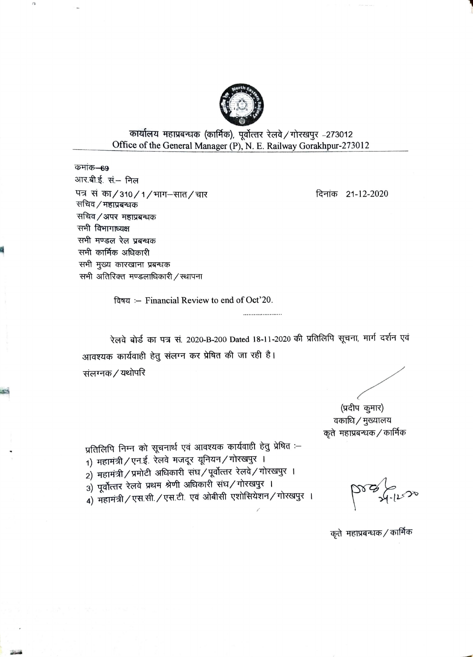

कार्यालय महाप्रबन्धक (कार्मिक), पूर्वोत्तर रेलवे / गोरखपूर -273012 Office of the General Manager (P), N. E. Railway Gorakhpur-273012

कमांक–69 आर.बी.ई. सं.– निल पत्र सं का/310/1/भाग-सात/चार सचिव / महाप्रबन्धक सचिव / अपर महाप्रबन्धक सभी विभागाध्यक्ष सभी मण्डल रेल प्रबन्धक सभी कार्मिक अधिकारी सभी मुख्य कारखाना प्रबन्धक सभी अतिरिक्त मण्डलाधिकारी / स्थापना

 $\overline{a}$ 

दिनांक 21-12-2020

विषय :- Financial Review to end of Oct'20.

रेलवे बोर्ड का पत्र सं. 2020-B-200 Dated 18-11-2020 की प्रतिलिपि सूचना, मार्ग दर्शन एवं आवश्यक कार्यवाही हेतु संलग्न कर प्रेषित की जा रही है। संलग्नक / यथोपरि

.....................

(प्रदीप कुमार) वकाधि / मुख्यालय कृते महाप्रबन्धक / कार्मिक

प्रतिलिपि निम्न को सूचनार्थ एवं आवश्यक कार्यवाही हेतु प्रेषित :-

- 1) महामंत्री / एन.ई. रेलवे मजदूर यूनियन / गोरखपुर ।
- 2) महामंत्री / प्रमोटी अधिकारी संघ / पूर्वोत्तर रेलवे / गोरखपुर ।
- 3) पूर्वोत्तर रेलवे प्रथम श्रेणी अधिकारी संघ/गोरखपुर ।
- 4) महामंत्री / एस.सी. / एस.टी. एवं ओबीसी एशोसियेशन / गोरखपुर ।

कृते महाप्रबन्धक / कार्मिक